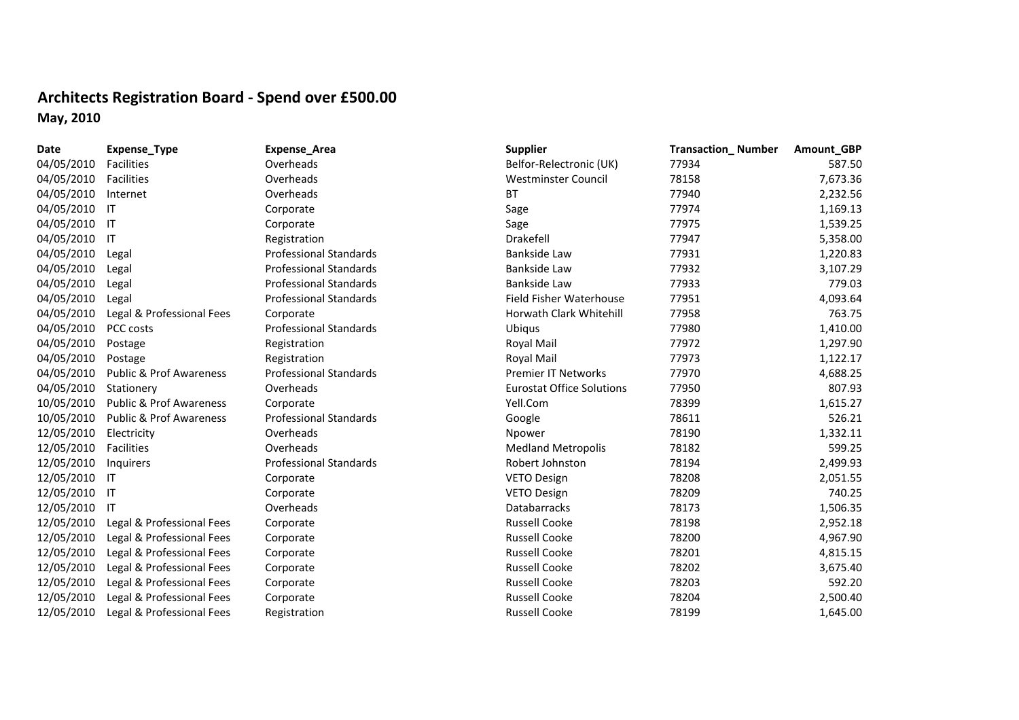## **Architects Registration Board ‐ Spend over £500.00 May, 2010**

| Date       | Expense_Type                       | <b>Expense_Area</b>           | <b>Supplier</b>                  | <b>Transaction_Number</b> | Amount_GBP |
|------------|------------------------------------|-------------------------------|----------------------------------|---------------------------|------------|
| 04/05/2010 | Facilities                         | Overheads                     | Belfor-Relectronic (UK)          | 77934                     | 587.50     |
| 04/05/2010 | Facilities                         | Overheads                     | <b>Westminster Council</b>       | 78158                     | 7,673.36   |
| 04/05/2010 | Internet                           | Overheads                     | <b>BT</b>                        | 77940                     | 2,232.56   |
| 04/05/2010 | -IT                                | Corporate                     | Sage                             | 77974                     | 1,169.13   |
| 04/05/2010 | -IT                                | Corporate                     | Sage                             | 77975                     | 1,539.25   |
| 04/05/2010 | -IT                                | Registration                  | Drakefell                        | 77947                     | 5,358.00   |
| 04/05/2010 | Legal                              | <b>Professional Standards</b> | <b>Bankside Law</b>              | 77931                     | 1,220.83   |
| 04/05/2010 | Legal                              | <b>Professional Standards</b> | Bankside Law                     | 77932                     | 3,107.29   |
| 04/05/2010 | Legal                              | <b>Professional Standards</b> | Bankside Law                     | 77933                     | 779.03     |
| 04/05/2010 | Legal                              | <b>Professional Standards</b> | Field Fisher Waterhouse          | 77951                     | 4,093.64   |
| 04/05/2010 | Legal & Professional Fees          | Corporate                     | Horwath Clark Whitehill          | 77958                     | 763.75     |
| 04/05/2010 | PCC costs                          | <b>Professional Standards</b> | <b>Ubigus</b>                    | 77980                     | 1,410.00   |
| 04/05/2010 | Postage                            | Registration                  | Royal Mail                       | 77972                     | 1,297.90   |
| 04/05/2010 | Postage                            | Registration                  | Royal Mail                       | 77973                     | 1,122.17   |
| 04/05/2010 | <b>Public &amp; Prof Awareness</b> | <b>Professional Standards</b> | <b>Premier IT Networks</b>       | 77970                     | 4,688.25   |
| 04/05/2010 | Stationery                         | Overheads                     | <b>Eurostat Office Solutions</b> | 77950                     | 807.93     |
| 10/05/2010 | <b>Public &amp; Prof Awareness</b> | Corporate                     | Yell.Com                         | 78399                     | 1,615.27   |
| 10/05/2010 | <b>Public &amp; Prof Awareness</b> | <b>Professional Standards</b> | Google                           | 78611                     | 526.21     |
| 12/05/2010 | Electricity                        | Overheads                     | Npower                           | 78190                     | 1,332.11   |
| 12/05/2010 | Facilities                         | Overheads                     | <b>Medland Metropolis</b>        | 78182                     | 599.25     |
| 12/05/2010 | Inquirers                          | <b>Professional Standards</b> | Robert Johnston                  | 78194                     | 2,499.93   |
| 12/05/2010 | -IT                                | Corporate                     | VETO Design                      | 78208                     | 2,051.55   |
| 12/05/2010 | -IT                                | Corporate                     | <b>VETO Design</b>               | 78209                     | 740.25     |
| 12/05/2010 | -IT                                | Overheads                     | <b>Databarracks</b>              | 78173                     | 1,506.35   |
| 12/05/2010 | Legal & Professional Fees          | Corporate                     | <b>Russell Cooke</b>             | 78198                     | 2,952.18   |
| 12/05/2010 | Legal & Professional Fees          | Corporate                     | <b>Russell Cooke</b>             | 78200                     | 4,967.90   |
| 12/05/2010 | Legal & Professional Fees          | Corporate                     | <b>Russell Cooke</b>             | 78201                     | 4,815.15   |
| 12/05/2010 | Legal & Professional Fees          | Corporate                     | <b>Russell Cooke</b>             | 78202                     | 3,675.40   |
| 12/05/2010 | Legal & Professional Fees          | Corporate                     | <b>Russell Cooke</b>             | 78203                     | 592.20     |
| 12/05/2010 | Legal & Professional Fees          | Corporate                     | <b>Russell Cooke</b>             | 78204                     | 2,500.40   |
| 12/05/2010 | Legal & Professional Fees          | Registration                  | <b>Russell Cooke</b>             | 78199                     | 1,645.00   |
|            |                                    |                               |                                  |                           |            |